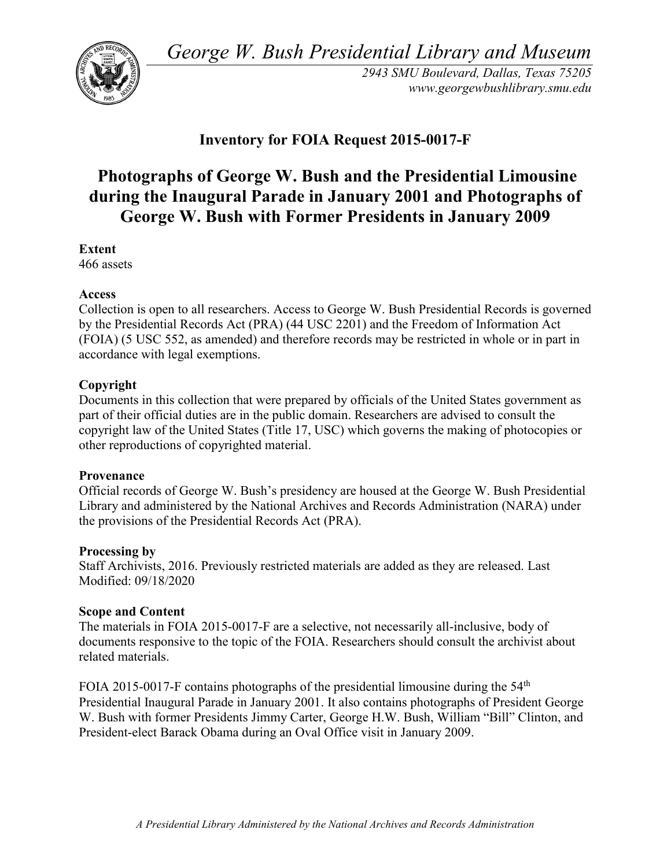*George W. Bush Presidential Library and Museum* 



 *2943 SMU Boulevard, Dallas, Texas 75205 <www.georgewbushlibrary.smu.edu>*

# **Inventory for FOIA Request 2015-0017-F**

# **Photographs of George W. Bush and the Presidential Limousine during the Inaugural Parade in January 2001 and Photographs of George W. Bush with Former Presidents in January 2009**

**Extent** 

466 assets

#### **Access**

 by the Presidential Records Act (PRA) (44 USC 2201) and the Freedom of Information Act Collection is open to all researchers. Access to George W. Bush Presidential Records is governed (FOIA) (5 USC 552, as amended) and therefore records may be restricted in whole or in part in accordance with legal exemptions.

# **Copyright**

 Documents in this collection that were prepared by officials of the United States government as part of their official duties are in the public domain. Researchers are advised to consult the copyright law of the United States (Title 17, USC) which governs the making of photocopies or other reproductions of copyrighted material.

#### **Provenance**

 Official records of George W. Bush's presidency are housed at the George W. Bush Presidential Library and administered by the National Archives and Records Administration (NARA) under the provisions of the Presidential Records Act (PRA).

#### **Processing by**

 Modified: 09/18/2020 Staff Archivists, 2016. Previously restricted materials are added as they are released. Last

# **Scope and Content**

 The materials in FOIA 2015-0017-F are a selective, not necessarily all-inclusive, body of documents responsive to the topic of the FOIA. Researchers should consult the archivist about related materials.

FOIA 2015-0017-F contains photographs of the presidential limousine during the  $54<sup>th</sup>$  Presidential Inaugural Parade in January 2001. It also contains photographs of President George W. Bush with former Presidents Jimmy Carter, George H.W. Bush, William "Bill" Clinton, and President-elect Barack Obama during an Oval Office visit in January 2009.